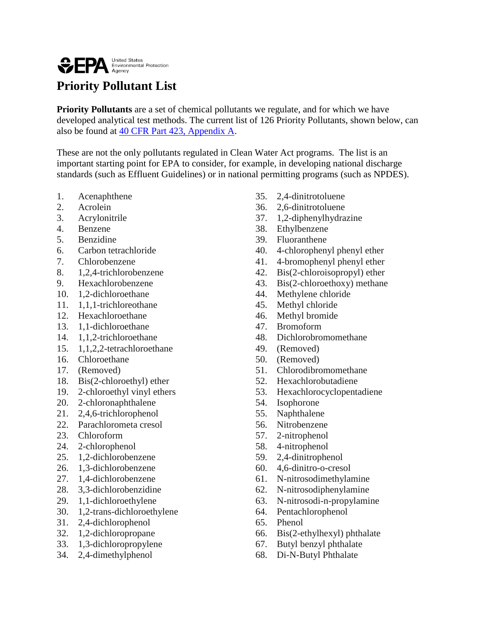## **OFPA** Environmental Protection

## **Priority Pollutant List**

**Priority Pollutants** are a set of chemical pollutants we regulate, and for which we have developed analytical test methods. The current list of 126 Priority Pollutants, shown below, can also be found at [40 CFR Part 423, Appendix A.](http://www.gpo.gov/fdsys/pkg/CFR-2014-title40-vol29/pdf/CFR-2014-title40-vol29-part423-appA.pdf)

These are not the only pollutants regulated in Clean Water Act programs. The list is an important starting point for EPA to consider, for example, in developing national discharge standards (such as Effluent Guidelines) or in national permitting programs (such as NPDES).

- 1. Acenaphthene
- 2. Acrolein
- 3. Acrylonitrile
- 4. Benzene
- 5. Benzidine
- 6. Carbon tetrachloride
- 7. Chlorobenzene
- 8. 1,2,4-trichlorobenzene
- 9. Hexachlorobenzene
- 10. 1,2-dichloroethane
- 11. 1,1,1-trichloreothane
- 12. Hexachloroethane
- 13. 1,1-dichloroethane
- 14. 1,1,2-trichloroethane
- 15. 1,1,2,2-tetrachloroethane
- 16. Chloroethane
- 17. (Removed)
- 18. Bis(2-chloroethyl) ether
- 19. 2-chloroethyl vinyl ethers
- 20. 2-chloronaphthalene
- 21. 2,4,6-trichlorophenol
- 22. Parachlorometa cresol
- 23. Chloroform
- 24. 2-chlorophenol
- 25. 1,2-dichlorobenzene
- 26. 1,3-dichlorobenzene
- 27. 1,4-dichlorobenzene
- 28. 3,3-dichlorobenzidine
- 29. 1,1-dichloroethylene
- 30. 1,2-trans-dichloroethylene
- 31. 2,4-dichlorophenol
- 32. 1,2-dichloropropane
- 33. 1,3-dichloropropylene
- 34. 2,4-dimethylphenol
- 35. 2,4-dinitrotoluene
- 36. 2,6-dinitrotoluene
- 37. 1,2-diphenylhydrazine
- 38. Ethylbenzene
- 39. Fluoranthene
- 40. 4-chlorophenyl phenyl ether
- 41. 4-bromophenyl phenyl ether
- 42. Bis(2-chloroisopropyl) ether
- 43. Bis(2-chloroethoxy) methane
- 44. Methylene chloride
- 45. Methyl chloride
- 46. Methyl bromide
- 47. Bromoform
- 48. Dichlorobromomethane
- 49. (Removed)
- 50. (Removed)
- 51. Chlorodibromomethane
- 52. Hexachlorobutadiene
- 53. Hexachlorocyclopentadiene
- 54. Isophorone
- 55. Naphthalene
- 56. Nitrobenzene
- 57. 2-nitrophenol
- 58. 4-nitrophenol
- 59. 2,4-dinitrophenol
- 60. 4,6-dinitro-o-cresol
- 61. N-nitrosodimethylamine
- 62. N-nitrosodiphenylamine
- 63. N-nitrosodi-n-propylamine
- 64. Pentachlorophenol
- 65. Phenol
- 66. Bis(2-ethylhexyl) phthalate
- 67. Butyl benzyl phthalate
- 68. Di-N-Butyl Phthalate